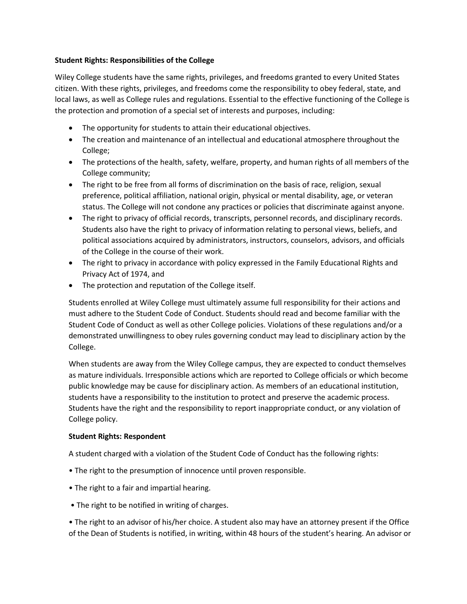## **Student Rights: Responsibilities of the College**

Wiley College students have the same rights, privileges, and freedoms granted to every United States citizen. With these rights, privileges, and freedoms come the responsibility to obey federal, state, and local laws, as well as College rules and regulations. Essential to the effective functioning of the College is the protection and promotion of a special set of interests and purposes, including:

- The opportunity for students to attain their educational objectives.
- The creation and maintenance of an intellectual and educational atmosphere throughout the College;
- The protections of the health, safety, welfare, property, and human rights of all members of the College community;
- The right to be free from all forms of discrimination on the basis of race, religion, sexual preference, political affiliation, national origin, physical or mental disability, age, or veteran status. The College will not condone any practices or policies that discriminate against anyone.
- The right to privacy of official records, transcripts, personnel records, and disciplinary records. Students also have the right to privacy of information relating to personal views, beliefs, and political associations acquired by administrators, instructors, counselors, advisors, and officials of the College in the course of their work.
- The right to privacy in accordance with policy expressed in the Family Educational Rights and Privacy Act of 1974, and
- The protection and reputation of the College itself.

Students enrolled at Wiley College must ultimately assume full responsibility for their actions and must adhere to the Student Code of Conduct. Students should read and become familiar with the Student Code of Conduct as well as other College policies. Violations of these regulations and/or a demonstrated unwillingness to obey rules governing conduct may lead to disciplinary action by the College.

When students are away from the Wiley College campus, they are expected to conduct themselves as mature individuals. Irresponsible actions which are reported to College officials or which become public knowledge may be cause for disciplinary action. As members of an educational institution, students have a responsibility to the institution to protect and preserve the academic process. Students have the right and the responsibility to report inappropriate conduct, or any violation of College policy.

## **Student Rights: Respondent**

A student charged with a violation of the Student Code of Conduct has the following rights:

- The right to the presumption of innocence until proven responsible.
- The right to a fair and impartial hearing.
- The right to be notified in writing of charges.

• The right to an advisor of his/her choice. A student also may have an attorney present if the Office of the Dean of Students is notified, in writing, within 48 hours of the student's hearing. An advisor or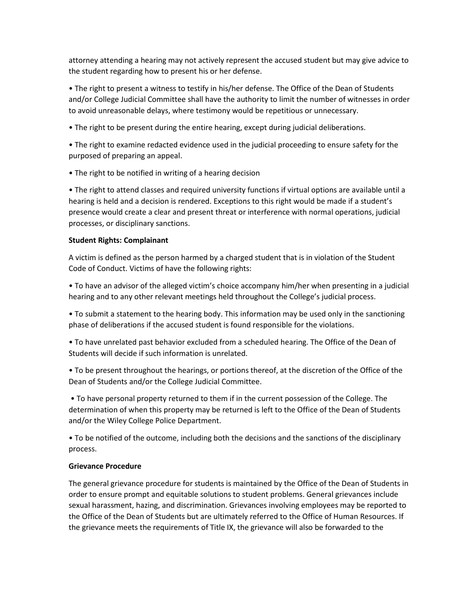attorney attending a hearing may not actively represent the accused student but may give advice to the student regarding how to present his or her defense.

• The right to present a witness to testify in his/her defense. The Office of the Dean of Students and/or College Judicial Committee shall have the authority to limit the number of witnesses in order to avoid unreasonable delays, where testimony would be repetitious or unnecessary.

• The right to be present during the entire hearing, except during judicial deliberations.

• The right to examine redacted evidence used in the judicial proceeding to ensure safety for the purposed of preparing an appeal.

• The right to be notified in writing of a hearing decision

• The right to attend classes and required university functions if virtual options are available until a hearing is held and a decision is rendered. Exceptions to this right would be made if a student's presence would create a clear and present threat or interference with normal operations, judicial processes, or disciplinary sanctions.

## **Student Rights: Complainant**

A victim is defined as the person harmed by a charged student that is in violation of the Student Code of Conduct. Victims of have the following rights:

• To have an advisor of the alleged victim's choice accompany him/her when presenting in a judicial hearing and to any other relevant meetings held throughout the College's judicial process.

• To submit a statement to the hearing body. This information may be used only in the sanctioning phase of deliberations if the accused student is found responsible for the violations.

• To have unrelated past behavior excluded from a scheduled hearing. The Office of the Dean of Students will decide if such information is unrelated.

• To be present throughout the hearings, or portions thereof, at the discretion of the Office of the Dean of Students and/or the College Judicial Committee.

• To have personal property returned to them if in the current possession of the College. The determination of when this property may be returned is left to the Office of the Dean of Students and/or the Wiley College Police Department.

• To be notified of the outcome, including both the decisions and the sanctions of the disciplinary process.

## **Grievance Procedure**

The general grievance procedure for students is maintained by the Office of the Dean of Students in order to ensure prompt and equitable solutions to student problems. General grievances include sexual harassment, hazing, and discrimination. Grievances involving employees may be reported to the Office of the Dean of Students but are ultimately referred to the Office of Human Resources. If the grievance meets the requirements of Title IX, the grievance will also be forwarded to the